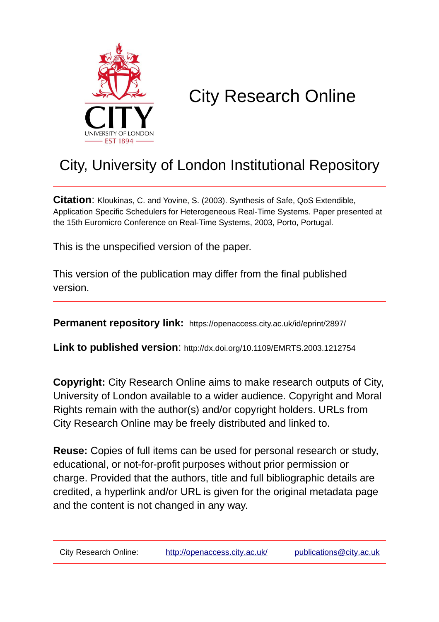

# City Research Online

## City, University of London Institutional Repository

**Citation**: Kloukinas, C. and Yovine, S. (2003). Synthesis of Safe, QoS Extendible, Application Specific Schedulers for Heterogeneous Real-Time Systems. Paper presented at the 15th Euromicro Conference on Real-Time Systems, 2003, Porto, Portugal.

This is the unspecified version of the paper.

This version of the publication may differ from the final published version.

**Permanent repository link:** https://openaccess.city.ac.uk/id/eprint/2897/

**Link to published version**: http://dx.doi.org/10.1109/EMRTS.2003.1212754

**Copyright:** City Research Online aims to make research outputs of City, University of London available to a wider audience. Copyright and Moral Rights remain with the author(s) and/or copyright holders. URLs from City Research Online may be freely distributed and linked to.

**Reuse:** Copies of full items can be used for personal research or study, educational, or not-for-profit purposes without prior permission or charge. Provided that the authors, title and full bibliographic details are credited, a hyperlink and/or URL is given for the original metadata page and the content is not changed in any way.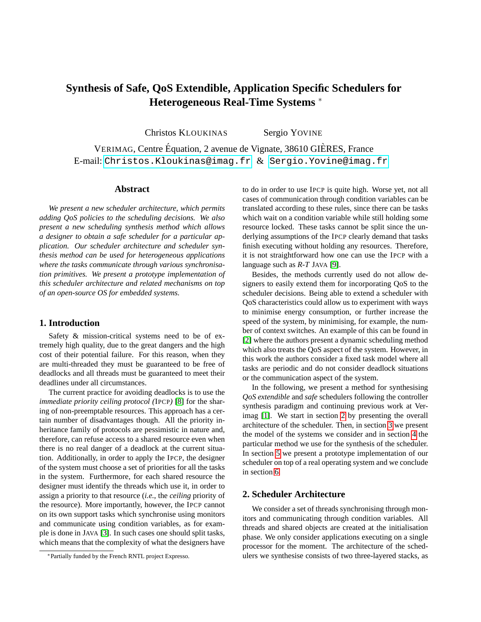### **Synthesis of Safe, QoS Extendible, Application Specific Schedulers for Heterogeneous Real-Time Systems** <sup>∗</sup>

Christos KLOUKINAS Sergio YOVINE

VERIMAG, Centre Équation, 2 avenue de Vignate, 38610 GIÈRES, France E-mail: [Christos.Kloukinas@imag.fr](mailto:Christos.Kloukinas@imag.fr) & [Sergio.Yovine@imag.fr](mailto:Sergio.Yovine@imag.fr)

#### **Abstract**

*We present a new scheduler architecture, which permits adding QoS policies to the scheduling decisions. We also present a new scheduling synthesis method which allows a designer to obtain a safe scheduler for a particular application. Our scheduler architecture and scheduler synthesis method can be used for heterogeneous applications where the tasks communicate through various synchronisation primitives. We present a prototype implementation of this scheduler architecture and related mechanisms on top of an open-source OS for embedded systems.*

#### **1. Introduction**

Safety & mission-critical systems need to be of extremely high quality, due to the great dangers and the high cost of their potential failure. For this reason, when they are multi-threaded they must be guaranteed to be free of deadlocks and all threads must be guaranteed to meet their deadlines under all circumstances.

The current practice for avoiding deadlocks is to use the *immediate priority ceiling protocol (*IPCP*)* [\[8\]](#page-8-0) for the sharing of non-preemptable resources. This approach has a certain number of disadvantages though. All the priority inheritance family of protocols are pessimistic in nature and, therefore, can refuse access to a shared resource even when there is no real danger of a deadlock at the current situation. Additionally, in order to apply the IPCP, the designer of the system must choose a set of priorities for all the tasks in the system. Furthermore, for each shared resource the designer must identify the threads which use it, in order to assign a priority to that resource (*i.e.*, the *ceiling* priority of the resource). More importantly, however, the IPCP cannot on its own support tasks which synchronise using monitors and communicate using condition variables, as for example is done in JAVA [\[3\]](#page-8-1). In such cases one should split tasks, which means that the complexity of what the designers have

to do in order to use IPCP is quite high. Worse yet, not all cases of communication through condition variables can be translated according to these rules, since there can be tasks which wait on a condition variable while still holding some resource locked. These tasks cannot be split since the underlying assumptions of the IPCP clearly demand that tasks finish executing without holding any resources. Therefore, it is not straightforward how one can use the IPCP with a language such as *R-T* JAVA [\[9\]](#page-8-2).

Besides, the methods currently used do not allow designers to easily extend them for incorporating QoS to the scheduler decisions. Being able to extend a scheduler with QoS characteristics could allow us to experiment with ways to minimise energy consumption, or further increase the speed of the system, by minimising, for example, the number of context switches. An example of this can be found in [\[2\]](#page-8-3) where the authors present a dynamic scheduling method which also treats the QoS aspect of the system. However, in this work the authors consider a fixed task model where all tasks are periodic and do not consider deadlock situations or the communication aspect of the system.

In the following, we present a method for synthesising *QoS extendible* and *safe* schedulers following the controller synthesis paradigm and continuing previous work at Verimag [\[1\]](#page-8-4). We start in section [2](#page-1-0) by presenting the overall architecture of the scheduler. Then, in section [3](#page-3-0) we present the model of the systems we consider and in section [4](#page-4-0) the particular method we use for the synthesis of the scheduler. In section [5](#page-7-0) we present a prototype implementation of our scheduler on top of a real operating system and we conclude in section [6.](#page-7-1)

#### <span id="page-1-0"></span>**2. Scheduler Architecture**

We consider a set of threads synchronising through monitors and communicating through condition variables. All threads and shared objects are created at the initialisation phase. We only consider applications executing on a single processor for the moment. The architecture of the schedulers we synthesise consists of two three-layered stacks, as

<sup>∗</sup>Partially funded by the French RNTL project Expresso.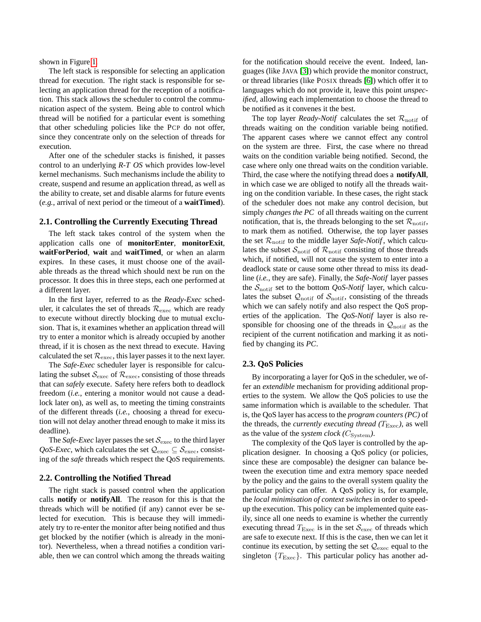shown in Figure [1.](#page-3-1)

The left stack is responsible for selecting an application thread for execution. The right stack is responsible for selecting an application thread for the reception of a notification. This stack allows the scheduler to control the communication aspect of the system. Being able to control which thread will be notified for a particular event is something that other scheduling policies like the PCP do not offer, since they concentrate only on the selection of threads for execution.

After one of the scheduler stacks is finished, it passes control to an underlying *R-T OS* which provides low-level kernel mechanisms. Such mechanisms include the ability to create, suspend and resume an application thread, as well as the ability to create, set and disable alarms for future events (*e.g.*, arrival of next period or the timeout of a **waitTimed**).

#### <span id="page-2-0"></span>**2.1. Controlling the Currently Executing Thread**

The left stack takes control of the system when the application calls one of **monitorEnter**, **monitorExit**, **waitForPeriod**, **wait** and **waitTimed**, or when an alarm expires. In these cases, it must choose one of the available threads as the thread which should next be run on the processor. It does this in three steps, each one performed at a different layer.

In the first layer, referred to as the *Ready-Exec* scheduler, it calculates the set of threads  $\mathcal{R}_{\text{exec}}$  which are ready to execute without directly blocking due to mutual exclusion. That is, it examines whether an application thread will try to enter a monitor which is already occupied by another thread, if it is chosen as the next thread to execute. Having calculated the set  $\mathcal{R}_{\text{exec}}$ , this layer passes it to the next layer.

The *Safe-Exec* scheduler layer is responsible for calculating the subset  $\mathcal{S}_{\text{exec}}$  of  $\mathcal{R}_{\text{exec}}$ , consisting of those threads that can *safely* execute. Safety here refers both to deadlock freedom (*i.e.*, entering a monitor would not cause a deadlock later on), as well as, to meeting the timing constraints of the different threads (*i.e.*, choosing a thread for execution will not delay another thread enough to make it miss its deadline).

The *Safe-Exec* layer passes the set  $S_{\text{exec}}$  to the third layer *QoS-Exec*, which calculates the set  $Q_{\text{exec}} \subseteq S_{\text{exec}}$ , consisting of the *safe* threads which respect the QoS requirements.

#### <span id="page-2-1"></span>**2.2. Controlling the Notified Thread**

The right stack is passed control when the application calls **notify** or **notifyAll**. The reason for this is that the threads which will be notified (if any) cannot ever be selected for execution. This is because they will immediately try to re-enter the monitor after being notified and thus get blocked by the notifier (which is already in the monitor). Nevertheless, when a thread notifies a condition variable, then we can control which among the threads waiting for the notification should receive the event. Indeed, languages (like JAVA [\[3\]](#page-8-1)) which provide the monitor construct, or thread libraries (like POSIX threads [\[6\]](#page-8-5)) which offer it to languages which do not provide it, leave this point *unspecified*, allowing each implementation to choose the thread to be notified as it convenes it the best.

The top layer *Ready-Notif* calculates the set  $\mathcal{R}_{\text{notif}}$  of threads waiting on the condition variable being notified. The apparent cases where we cannot effect any control on the system are three. First, the case where no thread waits on the condition variable being notified. Second, the case where only one thread waits on the condition variable. Third, the case where the notifying thread does a **notifyAll**, in which case we are obliged to notify all the threads waiting on the condition variable. In these cases, the right stack of the scheduler does not make any control decision, but simply *changes the PC* of all threads waiting on the current notification, that is, the threads belonging to the set  $\mathcal{R}_{\text{notif}}$ , to mark them as notified. Otherwise, the top layer passes the set  $\mathcal{R}_{\text{notif}}$  to the middle layer *Safe-Notif*, which calculates the subset  $S_{\text{notif}}$  of  $\mathcal{R}_{\text{notif}}$  consisting of those threads which, if notified, will not cause the system to enter into a deadlock state or cause some other thread to miss its deadline (*i.e.*, they are safe). Finally, the *Safe-Notif* layer passes the  $S_{\text{notif}}$  set to the bottom *QoS-Notif* layer, which calculates the subset  $\mathcal{Q}_{\text{notif}}$  of  $\mathcal{S}_{\text{notif}}$ , consisting of the threads which we can safely notify and also respect the QoS properties of the application. The *QoS-Notif* layer is also responsible for choosing one of the threads in  $\mathcal{Q}_{\text{notif}}$  as the recipient of the current notification and marking it as notified by changing its *PC*.

#### **2.3. QoS Policies**

By incorporating a layer for QoS in the scheduler, we offer an *extendible* mechanism for providing additional properties to the system. We allow the QoS policies to use the same information which is available to the scheduler. That is, the QoS layer has access to the *program counters (PC)* of the threads, the *currently executing thread* ( $T_{\text{Exec}}$ ), as well as the value of the *system clock* ( $C_{\text{System}}$ ).

The complexity of the QoS layer is controlled by the application designer. In choosing a QoS policy (or policies, since these are composable) the designer can balance between the execution time and extra memory space needed by the policy and the gains to the overall system quality the particular policy can offer. A QoS policy is, for example, the *local minimisation of context switches* in order to speedup the execution. This policy can be implemented quite easily, since all one needs to examine is whether the currently executing thread  $T_{\text{Exec}}$  is in the set  $\mathcal{S}_{\text{exec}}$  of threads which are safe to execute next. If this is the case, then we can let it continue its execution, by setting the set  $Q_{\text{exec}}$  equal to the singleton  $\{T_{\text{Exec}}\}$ . This particular policy has another ad-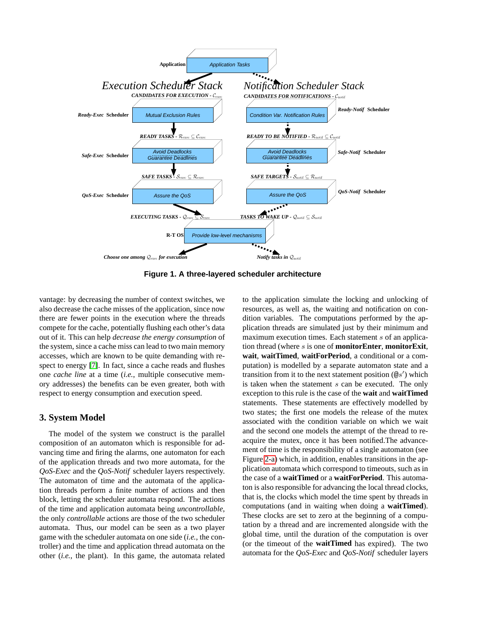

<span id="page-3-1"></span>**Figure 1. A three-layered scheduler architecture**

vantage: by decreasing the number of context switches, we also decrease the cache misses of the application, since now there are fewer points in the execution where the threads compete for the cache, potentially flushing each other's data out of it. This can help *decrease the energy consumption* of the system, since a cache miss can lead to two main memory accesses, which are known to be quite demanding with respect to energy [\[7\]](#page-8-6). In fact, since a cache reads and flushes one *cache line* at a time (*i.e.*, multiple consecutive memory addresses) the benefits can be even greater, both with respect to energy consumption and execution speed.

#### <span id="page-3-0"></span>**3. System Model**

The model of the system we construct is the parallel composition of an automaton which is responsible for advancing time and firing the alarms, one automaton for each of the application threads and two more automata, for the *QoS-Exec* and the *QoS-Notif* scheduler layers respectively. The automaton of time and the automata of the application threads perform a finite number of actions and then block, letting the scheduler automata respond. The actions of the time and application automata being *uncontrollable*, the only *controllable* actions are those of the two scheduler automata. Thus, our model can be seen as a two player game with the scheduler automata on one side (*i.e.*, the controller) and the time and application thread automata on the other (*i.e.*, the plant). In this game, the automata related

to the application simulate the locking and unlocking of resources, as well as, the waiting and notification on condition variables. The computations performed by the application threads are simulated just by their minimum and maximum execution times. Each statement  $s$  of an application thread (where s is one of **monitorEnter**, **monitorExit**, **wait**, **waitTimed**, **waitForPeriod**, a conditional or a computation) is modelled by a separate automaton state and a transition from it to the next statement position  $(\circledast s')$  which is taken when the statement  $s$  can be executed. The only exception to this rule is the case of the **wait** and **waitTimed** statements. These statements are effectively modelled by two states; the first one models the release of the mutex associated with the condition variable on which we wait and the second one models the attempt of the thread to reacquire the mutex, once it has been notified.The advancement of time is the responsibility of a single automaton (see Figure [2-a\)](#page-4-1) which, in addition, enables transitions in the application automata which correspond to timeouts, such as in the case of a **waitTimed** or a **waitForPeriod**. This automaton is also responsible for advancing the local thread clocks, that is, the clocks which model the time spent by threads in computations (and in waiting when doing a **waitTimed**). These clocks are set to zero at the beginning of a computation by a thread and are incremented alongside with the global time, until the duration of the computation is over (or the timeout of the **waitTimed** has expired). The two automata for the *QoS-Exec* and *QoS-Notif* scheduler layers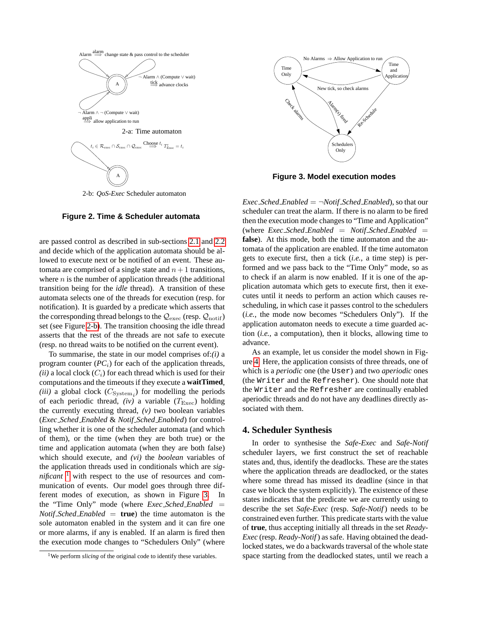<span id="page-4-1"></span>

<span id="page-4-2"></span>2-b: *QoS-Exec* Scheduler automaton

**Figure 2. Time & Scheduler automata**

are passed control as described in sub-sections [2.1](#page-2-0) and [2.2](#page-2-1) and decide which of the application automata should be allowed to execute next or be notified of an event. These automata are comprised of a single state and  $n+1$  transitions, where  $n$  is the number of application threads (the additional transition being for the *idle* thread). A transition of these automata selects one of the threads for execution (resp. for notification). It is guarded by a predicate which asserts that the corresponding thread belongs to the  $\mathcal{Q}_{\text{exec}}$  (resp.  $\mathcal{Q}_{\text{notif}}$ ) set (see Figure [2-b\)](#page-4-2). The transition choosing the idle thread asserts that the rest of the threads are not safe to execute (resp. no thread waits to be notified on the current event).

To summarise, the state in our model comprises of:*(i)* a program counter  $(PC_i)$  for each of the application threads,  $(ii)$  a local clock  $(C_i)$  for each thread which is used for their computations and the timeouts if they execute a **waitTimed**, *(iii)* a global clock  $(C_{\text{System}_i})$  for modelling the periods of each periodic thread,  $(iv)$  a variable  $(T_{\text{Exec}})$  holding the currently executing thread, *(v)* two boolean variables (*Exec Sched Enabled* & *Notif Sched Enabled*) for controlling whether it is one of the scheduler automata (and which of them), or the time (when they are both true) or the time and application automata (when they are both false) which should execute, and *(vi)* the *boolean* variables of the application threads used in conditionals which are *significant*  $\frac{1}{1}$  $\frac{1}{1}$  $\frac{1}{1}$  with respect to the use of resources and communication of events. Our model goes through three different modes of execution, as shown in Figure [3.](#page-4-4) In the "Time Only" mode (where *Exec Sched Enabled* = *Notif\_Sched\_Enabled* =  $true$  *true*) the time automaton is the sole automaton enabled in the system and it can fire one or more alarms, if any is enabled. If an alarm is fired then the execution mode changes to "Schedulers Only" (where



<span id="page-4-4"></span>**Figure 3. Model execution modes**

*Exec Sched Enabled* =  $\neg$ *Notif Sched Enabled*), so that our scheduler can treat the alarm. If there is no alarm to be fired then the execution mode changes to "Time and Application"  $(where *Exec Sched Embed*  $=$  *Notif Sched Embed*  $=$$ **false**). At this mode, both the time automaton and the automata of the application are enabled. If the time automaton gets to execute first, then a tick (*i.e.*, a time step) is performed and we pass back to the "Time Only" mode, so as to check if an alarm is now enabled. If it is one of the application automata which gets to execute first, then it executes until it needs to perform an action which causes rescheduling, in which case it passes control to the schedulers (*i.e.*, the mode now becomes "Schedulers Only"). If the application automaton needs to execute a time guarded action (*i.e.*, a computation), then it blocks, allowing time to advance.

As an example, let us consider the model shown in Figure [4.](#page-5-0) Here, the application consists of three threads, one of which is a *periodic* one (the User) and two *aperiodic* ones (the Writer and the Refresher). One should note that the Writer and the Refresher are continually enabled aperiodic threads and do not have any deadlines directly associated with them.

#### <span id="page-4-0"></span>**4. Scheduler Synthesis**

In order to synthesise the *Safe-Exec* and *Safe-Notif* scheduler layers, we first construct the set of reachable states and, thus, identify the deadlocks. These are the states where the application threads are deadlocked, or the states where some thread has missed its deadline (since in that case we block the system explicitly). The existence of these states indicates that the predicate we are currently using to describe the set *Safe-Exec* (resp. *Safe-Notif*) needs to be constrained even further. This predicate starts with the value of **true**, thus accepting initially all threads in the set *Ready-Exec* (resp. *Ready-Notif*) as safe. Having obtained the deadlocked states, we do a backwards traversal of the whole state space starting from the deadlocked states, until we reach a

<span id="page-4-3"></span><sup>&</sup>lt;sup>1</sup>We perform *slicing* of the original code to identify these variables.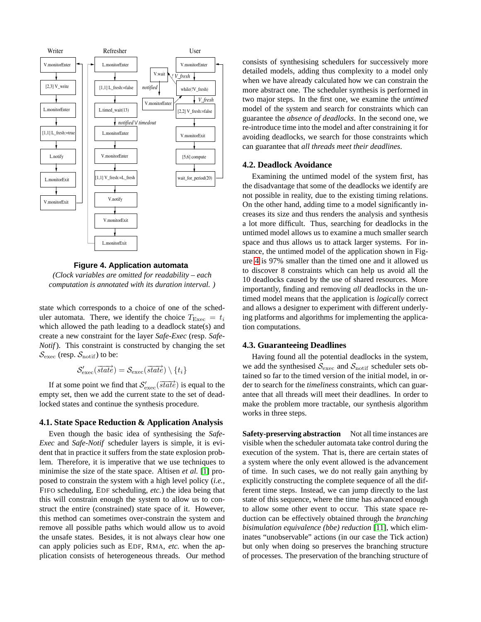

<span id="page-5-0"></span>**Figure 4. Application automata**

*(Clock variables are omitted for readability – each computation is annotated with its duration interval. )*

state which corresponds to a choice of one of the scheduler automata. There, we identify the choice  $T_{\text{Exec}} = t_i$ which allowed the path leading to a deadlock state(s) and create a new constraint for the layer *Safe-Exec* (resp. *Safe-Notif*). This constraint is constructed by changing the set  $S_{\text{exec}}$  (resp.  $S_{\text{notif}}$ ) to be:

$$
\mathcal{S}'_{\text{exec}}(\overrightarrow{state}) = \mathcal{S}_{\text{exec}}(\overrightarrow{state}) \setminus \{t_i\}
$$

If at some point we find that  $\mathcal{S}'_{\text{exec}}(\overline{stat}^2)$  is equal to the empty set, then we add the current state to the set of deadlocked states and continue the synthesis procedure.

#### **4.1. State Space Reduction & Application Analysis**

Even though the basic idea of synthesising the *Safe-Exec* and *Safe-Notif* scheduler layers is simple, it is evident that in practice it suffers from the state explosion problem. Therefore, it is imperative that we use techniques to minimise the size of the state space. Altisen *et al.* [\[1\]](#page-8-4) proposed to constrain the system with a high level policy (*i.e.*, FIFO scheduling, EDF scheduling, *etc.*) the idea being that this will constrain enough the system to allow us to construct the entire (constrained) state space of it. However, this method can sometimes over-constrain the system and remove all possible paths which would allow us to avoid the unsafe states. Besides, it is not always clear how one can apply policies such as EDF, RMA, *etc.* when the application consists of heterogeneous threads. Our method consists of synthesising schedulers for successively more detailed models, adding thus complexity to a model only when we have already calculated how we can constrain the more abstract one. The scheduler synthesis is performed in two major steps. In the first one, we examine the *untimed* model of the system and search for constraints which can guarantee the *absence of deadlocks*. In the second one, we re-introduce time into the model and after constraining it for avoiding deadlocks, we search for those constraints which can guarantee that *all threads meet their deadlines*.

#### **4.2. Deadlock Avoidance**

Examining the untimed model of the system first, has the disadvantage that some of the deadlocks we identify are not possible in reality, due to the existing timing relations. On the other hand, adding time to a model significantly increases its size and thus renders the analysis and synthesis a lot more difficult. Thus, searching for deadlocks in the untimed model allows us to examine a much smaller search space and thus allows us to attack larger systems. For instance, the untimed model of the application shown in Figure [4](#page-5-0) is 97% smaller than the timed one and it allowed us to discover 8 constraints which can help us avoid all the 10 deadlocks caused by the use of shared resources. More importantly, finding and removing *all* deadlocks in the untimed model means that the application is *logically* correct and allows a designer to experiment with different underlying platforms and algorithms for implementing the application computations.

#### **4.3. Guaranteeing Deadlines**

Having found all the potential deadlocks in the system, we add the synthesised  $\mathcal{S}_{\text{exec}}$  and  $\mathcal{S}_{\text{notif}}$  scheduler sets obtained so far to the timed version of the initial model, in order to search for the *timeliness* constraints, which can guarantee that all threads will meet their deadlines. In order to make the problem more tractable, our synthesis algorithm works in three steps.

**Safety-preserving abstraction** Not all time instances are visible when the scheduler automata take control during the execution of the system. That is, there are certain states of a system where the only event allowed is the advancement of time. In such cases, we do not really gain anything by explicitly constructing the complete sequence of all the different time steps. Instead, we can jump directly to the last state of this sequence, where the time has advanced enough to allow some other event to occur. This state space reduction can be effectively obtained through the *branching bisimulation equivalence (bbe) reduction* [\[11\]](#page-8-7), which eliminates "unobservable" actions (in our case the Tick action) but only when doing so preserves the branching structure of processes. The preservation of the branching structure of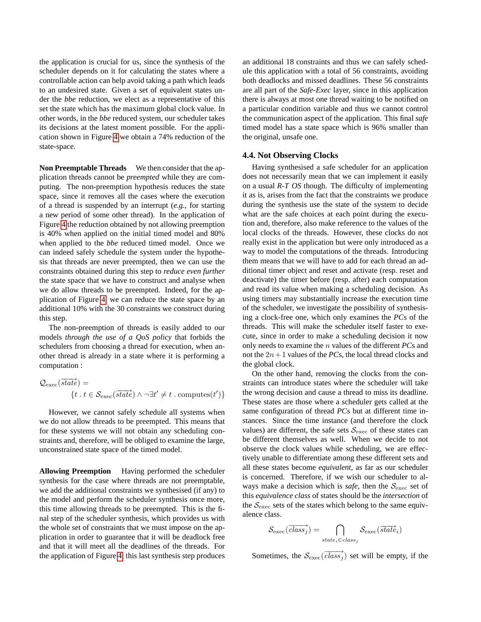the application is crucial for us, since the synthesis of the scheduler depends on it for calculating the states where a controllable action can help avoid taking a path which leads to an undesired state. Given a set of equivalent states under the *bbe* reduction, we elect as a representative of this set the state which has the maximum global clock value. In other words, in the *bbe* reduced system, our scheduler takes its decisions at the latest moment possible. For the application shown in Figure [4](#page-5-0) we obtain a 74% reduction of the state-space.

**Non Preemptable Threads** We then consider that the application threads cannot be *preempted* while they are computing. The non-preemption hypothesis reduces the state space, since it removes all the cases where the execution of a thread is suspended by an interrupt (*e.g.*, for starting a new period of some other thread). In the application of Figure [4](#page-5-0) the reduction obtained by not allowing preemption is 40% when applied on the initial timed model and 80% when applied to the *bbe* reduced timed model. Once we can indeed safely schedule the system under the hypothesis that threads are never preempted, then we can use the constraints obtained during this step to *reduce even further* the state space that we have to construct and analyse when we do allow threads to be preempted. Indeed, for the application of Figure [4,](#page-5-0) we can reduce the state space by an additional 10% with the 30 constraints we construct during this step.

The non-preemption of threads is easily added to our models *through the use of a QoS policy* that forbids the schedulers from choosing a thread for execution, when another thread is already in a state where it is performing a computation :

$$
Q_{\text{exec}}(\overrightarrow{stat\hat{e}}) =
$$
  
{ $t \cdot t \in S_{\text{exec}}(\overrightarrow{stat\hat{e}}) \land \neg \exists t' \neq t \text{ . computes}(t') }$ }

However, we cannot safely schedule all systems when we do not allow threads to be preempted. This means that for these systems we will not obtain any scheduling constraints and, therefore, will be obliged to examine the large, unconstrained state space of the timed model.

**Allowing Preemption** Having performed the scheduler synthesis for the case where threads are not preemptable, we add the additional constraints we synthesised (if any) to the model and perform the scheduler synthesis once more, this time allowing threads to be preempted. This is the final step of the scheduler synthesis, which provides us with the whole set of constraints that we must impose on the application in order to guarantee that it will be deadlock free and that it will meet all the deadlines of the threads. For the application of Figure [4,](#page-5-0) this last synthesis step produces an additional 18 constraints and thus we can safely schedule this application with a total of 56 constraints, avoiding both deadlocks and missed deadlines. These 56 constraints are all part of the *Safe-Exec* layer, since in this application there is always at most one thread waiting to be notified on a particular condition variable and thus we cannot control the communication aspect of the application. This final *safe* timed model has a state space which is 96% smaller than the original, unsafe one.

#### **4.4. Not Observing Clocks**

Having synthesised a safe scheduler for an application does not necessarily mean that we can implement it easily on a usual *R-T OS* though. The difficulty of implementing it as is, arises from the fact that the constraints we produce during the synthesis use the state of the system to decide what are the safe choices at each point during the execution and, therefore, also make reference to the values of the local clocks of the threads. However, these clocks do not really exist in the application but were only introduced as a way to model the computations of the threads. Introducing them means that we will have to add for each thread an additional timer object and reset and activate (resp. reset and deactivate) the timer before (resp. after) each computation and read its value when making a scheduling decision. As using timers may substantially increase the execution time of the scheduler, we investigate the possibility of synthesising a clock-free one, which only examines the *PC*s of the threads. This will make the scheduler itself faster to execute, since in order to make a scheduling decision it now only needs to examine the n values of the different *PC*s and not the  $2n+1$  values of the *PC*s, the local thread clocks and the global clock.

On the other hand, removing the clocks from the constraints can introduce states where the scheduler will take the wrong decision and cause a thread to miss its deadline. These states are those where a scheduler gets called at the same configuration of thread *PC*s but at different time instances. Since the time instance (and therefore the clock values) are different, the safe sets  $S_{\text{exec}}$  of these states can be different themselves as well. When we decide to not observe the clock values while scheduling, we are effectively unable to differentiate among these different sets and all these states become *equivalent*, as far as our scheduler is concerned. Therefore, if we wish our scheduler to always make a decision which is *safe*, then the  $S_{\text{exec}}$  set of this *equivalence class* of states should be the *intersection* of the  $S_{\text{exec}}$  sets of the states which belong to the same equivalence class.

$$
\mathcal{S}_{\text{exec}}(\overrightarrow{class_j}) = \bigcap_{state_i \in class_j} \mathcal{S}_{\text{exec}}(\overrightarrow{state_i})
$$

Sometimes, the  $S_{\text{exec}}(\overrightarrow{class_j})$  set will be empty, if the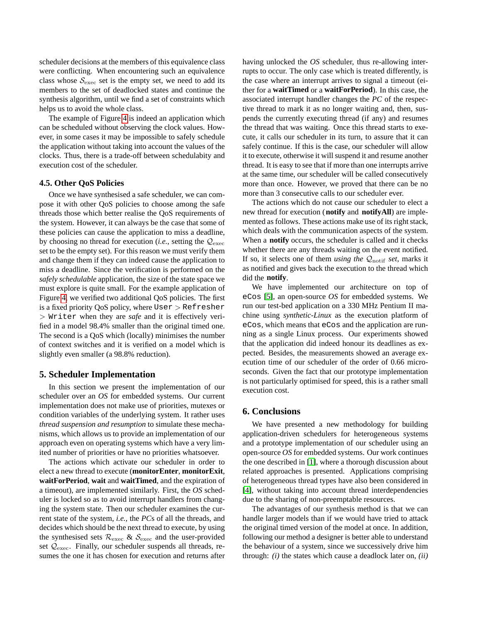scheduler decisions at the members of this equivalence class were conflicting. When encountering such an equivalence class whose  $S_{\rm exec}$  set is the empty set, we need to add its members to the set of deadlocked states and continue the synthesis algorithm, until we find a set of constraints which helps us to avoid the whole class.

The example of Figure [4](#page-5-0) is indeed an application which can be scheduled without observing the clock values. However, in some cases it may be impossible to safely schedule the application without taking into account the values of the clocks. Thus, there is a trade-off between schedulabity and execution cost of the scheduler.

#### **4.5. Other QoS Policies**

Once we have synthesised a safe scheduler, we can compose it with other QoS policies to choose among the safe threads those which better realise the QoS requirements of the system. However, it can always be the case that some of these policies can cause the application to miss a deadline, by choosing no thread for execution (*i.e.*, setting the  $Q_{\text{exec}}$ set to be the empty set). For this reason we must verify them and change them if they can indeed cause the application to miss a deadline. Since the verification is performed on the *safely schedulable* application, the size of the state space we must explore is quite small. For the example application of Figure [4,](#page-5-0) we verified two additional QoS policies. The first is a fixed priority QoS policy, where User > Refresher > Writer when they are *safe* and it is effectively verified in a model 98.4% smaller than the original timed one. The second is a QoS which (locally) minimises the number of context switches and it is verified on a model which is slightly even smaller (a 98.8% reduction).

#### <span id="page-7-0"></span>**5. Scheduler Implementation**

In this section we present the implementation of our scheduler over an *OS* for embedded systems. Our current implementation does not make use of priorities, mutexes or condition variables of the underlying system. It rather uses *thread suspension and resumption* to simulate these mechanisms, which allows us to provide an implementation of our approach even on operating systems which have a very limited number of priorities or have no priorities whatsoever.

The actions which activate our scheduler in order to elect a new thread to execute (**monitorEnter**, **monitorExit**, **waitForPeriod**, **wait** and **waitTimed**, and the expiration of a timeout), are implemented similarly. First, the *OS* scheduler is locked so as to avoid interrupt handlers from changing the system state. Then our scheduler examines the current state of the system, *i.e.*, the *PC*s of all the threads, and decides which should be the next thread to execute, by using the synthesised sets  $\mathcal{R}_{\text{exec}}$  &  $\mathcal{S}_{\text{exec}}$  and the user-provided set  $Q_{\text{exec}}$ . Finally, our scheduler suspends all threads, resumes the one it has chosen for execution and returns after having unlocked the *OS* scheduler, thus re-allowing interrupts to occur. The only case which is treated differently, is the case where an interrupt arrives to signal a timeout (either for a **waitTimed** or a **waitForPeriod**). In this case, the associated interrupt handler changes the *PC* of the respective thread to mark it as no longer waiting and, then, suspends the currently executing thread (if any) and resumes the thread that was waiting. Once this thread starts to execute, it calls our scheduler in its turn, to assure that it can safely continue. If this is the case, our scheduler will allow it to execute, otherwise it will suspend it and resume another thread. It is easy to see that if more than one interrupts arrive at the same time, our scheduler will be called consecutively more than once. However, we proved that there can be no more than 3 consecutive calls to our scheduler ever.

The actions which do not cause our scheduler to elect a new thread for execution (**notify** and **notifyAll**) are implemented as follows. These actions make use of its right stack, which deals with the communication aspects of the system. When a **notify** occurs, the scheduler is called and it checks whether there are any threads waiting on the event notified. If so, it selects one of them *using the*  $Q_{\text{notif}}$  *set*, marks it as notified and gives back the execution to the thread which did the **notify**.

We have implemented our architecture on top of eCos [\[5\]](#page-8-8), an open-source *OS* for embedded systems. We run our test-bed application on a 330 MHz Pentium II machine using *synthetic-Linux* as the execution platform of eCos, which means that eCos and the application are running as a single Linux process. Our experiments showed that the application did indeed honour its deadlines as expected. Besides, the measurements showed an average execution time of our scheduler of the order of 0.66 microseconds. Given the fact that our prototype implementation is not particularly optimised for speed, this is a rather small execution cost.

#### <span id="page-7-1"></span>**6. Conclusions**

We have presented a new methodology for building application-driven schedulers for heterogeneous systems and a prototype implementation of our scheduler using an open-source *OS* for embedded systems. Our work continues the one described in [\[1\]](#page-8-4), where a thorough discussion about related approaches is presented. Applications comprising of heterogeneous thread types have also been considered in [\[4\]](#page-8-9), without taking into account thread interdependencies due to the sharing of non-preemptable resources.

The advantages of our synthesis method is that we can handle larger models than if we would have tried to attack the original timed version of the model at once. In addition, following our method a designer is better able to understand the behaviour of a system, since we successively drive him through: *(i)* the states which cause a deadlock later on, *(ii)*